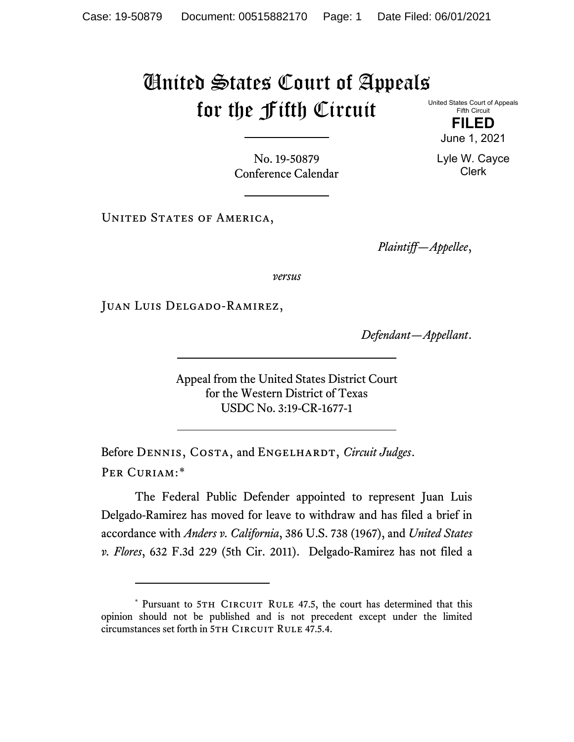## United States Court of Appeals for the Fifth Circuit

United States Court of Appeals Fifth Circuit

> **FILED** June 1, 2021

Lyle W. Cayce Clerk

No. 19-50879 Conference Calendar

UNITED STATES OF AMERICA,

*Plaintiff—Appellee*,

*versus*

Juan Luis Delgado-Ramirez,

*Defendant—Appellant*.

Appeal from the United States District Court for the Western District of Texas USDC No. 3:19-CR-1677-1

Before DENNIS, COSTA, and ENGELHARDT, *Circuit Judges*. Per Curiam:[\\*](#page-0-0)

The Federal Public Defender appointed to represent Juan Luis Delgado-Ramirez has moved for leave to withdraw and has filed a brief in accordance with *Anders v. California*, 386 U.S. 738 (1967), and *United States v. Flores*, 632 F.3d 229 (5th Cir. 2011). Delgado-Ramirez has not filed a

<span id="page-0-0"></span><sup>\*</sup> Pursuant to 5TH CIRCUIT RULE 47.5, the court has determined that this opinion should not be published and is not precedent except under the limited circumstances set forth in 5TH CIRCUIT RULE 47.5.4.